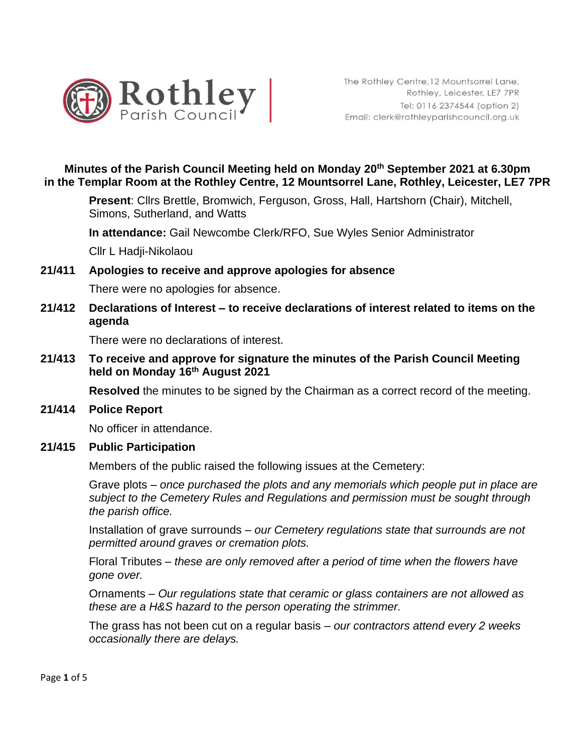

## **Minutes of the Parish Council Meeting held on Monday 20th September 2021 at 6.30pm in the Templar Room at the Rothley Centre, 12 Mountsorrel Lane, Rothley, Leicester, LE7 7PR**

**Present**: Cllrs Brettle, Bromwich, Ferguson, Gross, Hall, Hartshorn (Chair), Mitchell, Simons, Sutherland, and Watts

**In attendance:** Gail Newcombe Clerk/RFO, Sue Wyles Senior Administrator

Cllr L Hadji-Nikolaou

#### **21/411 Apologies to receive and approve apologies for absence**

There were no apologies for absence.

#### **21/412 Declarations of Interest – to receive declarations of interest related to items on the agenda**

There were no declarations of interest.

**21/413 To receive and approve for signature the minutes of the Parish Council Meeting held on Monday 16th August 2021** 

**Resolved** the minutes to be signed by the Chairman as a correct record of the meeting.

#### **21/414 Police Report**

No officer in attendance.

#### **21/415 Public Participation**

Members of the public raised the following issues at the Cemetery:

Grave plots – *once purchased the plots and any memorials which people put in place are subject to the Cemetery Rules and Regulations and permission must be sought through the parish office.* 

Installation of grave surrounds – *our Cemetery regulations state that surrounds are not permitted around graves or cremation plots.* 

Floral Tributes – *these are only removed after a period of time when the flowers have gone over.*

Ornaments – *Our regulations state that ceramic or glass containers are not allowed as these are a H&S hazard to the person operating the strimmer.*

The grass has not been cut on a regular basis – *our contractors attend every 2 weeks occasionally there are delays.*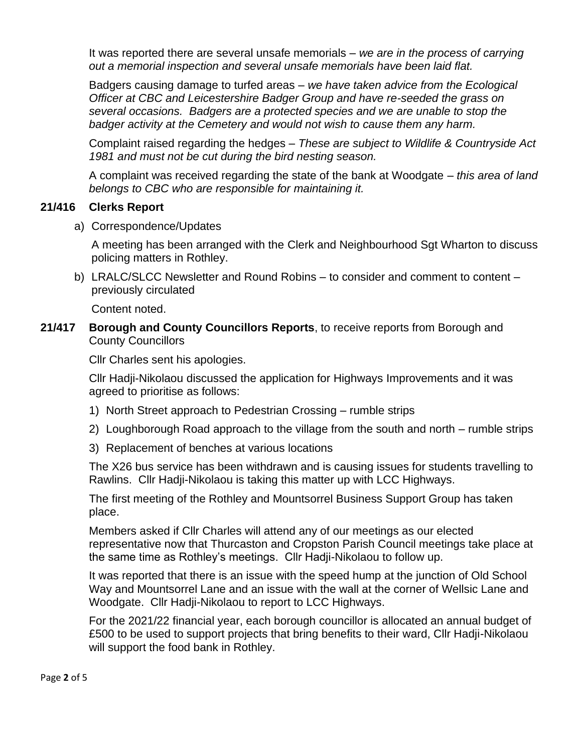It was reported there are several unsafe memorials – *we are in the process of carrying out a memorial inspection and several unsafe memorials have been laid flat.*

Badgers causing damage to turfed areas – *we have taken advice from the Ecological Officer at CBC and Leicestershire Badger Group and have re-seeded the grass on several occasions. Badgers are a protected species and we are unable to stop the badger activity at the Cemetery and would not wish to cause them any harm.*

Complaint raised regarding the hedges – *These are subject to Wildlife & Countryside Act 1981 and must not be cut during the bird nesting season.*

A complaint was received regarding the state of the bank at Woodgate – *this area of land belongs to CBC who are responsible for maintaining it.*

#### **21/416 Clerks Report**

a) Correspondence/Updates

A meeting has been arranged with the Clerk and Neighbourhood Sgt Wharton to discuss policing matters in Rothley.

b) LRALC/SLCC Newsletter and Round Robins – to consider and comment to content – previously circulated

Content noted.

**21/417 Borough and County Councillors Reports**, to receive reports from Borough and County Councillors

Cllr Charles sent his apologies.

Cllr Hadji-Nikolaou discussed the application for Highways Improvements and it was agreed to prioritise as follows:

- 1) North Street approach to Pedestrian Crossing rumble strips
- 2) Loughborough Road approach to the village from the south and north rumble strips
- 3) Replacement of benches at various locations

The X26 bus service has been withdrawn and is causing issues for students travelling to Rawlins. Cllr Hadji-Nikolaou is taking this matter up with LCC Highways.

The first meeting of the Rothley and Mountsorrel Business Support Group has taken place.

Members asked if Cllr Charles will attend any of our meetings as our elected representative now that Thurcaston and Cropston Parish Council meetings take place at the same time as Rothley's meetings. Cllr Hadji-Nikolaou to follow up.

It was reported that there is an issue with the speed hump at the junction of Old School Way and Mountsorrel Lane and an issue with the wall at the corner of Wellsic Lane and Woodgate. Cllr Hadii-Nikolaou to report to LCC Highways.

For the 2021/22 financial year, each borough councillor is allocated an annual budget of £500 to be used to support projects that bring benefits to their ward, Cllr Hadji-Nikolaou will support the food bank in Rothley.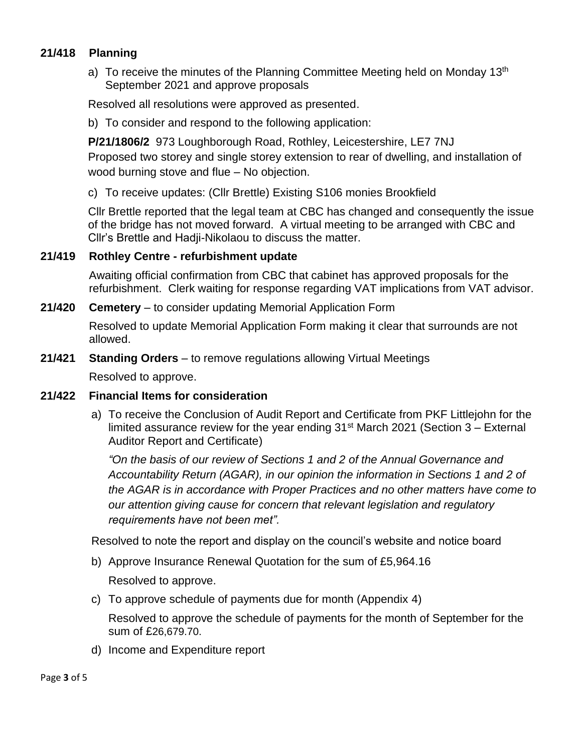## **21/418 Planning**

a) To receive the minutes of the Planning Committee Meeting held on Monday 13<sup>th</sup> September 2021 and approve proposals

Resolved all resolutions were approved as presented.

b) To consider and respond to the following application:

 **P/21/1806/2** 973 Loughborough Road, Rothley, Leicestershire, LE7 7NJ Proposed two storey and single storey extension to rear of dwelling, and installation of wood burning stove and flue – No objection.

c) To receive updates: (Cllr Brettle) Existing S106 monies Brookfield

Cllr Brettle reported that the legal team at CBC has changed and consequently the issue of the bridge has not moved forward. A virtual meeting to be arranged with CBC and Cllr's Brettle and Hadji-Nikolaou to discuss the matter.

#### **21/419 Rothley Centre - refurbishment update**

Awaiting official confirmation from CBC that cabinet has approved proposals for the refurbishment. Clerk waiting for response regarding VAT implications from VAT advisor.

#### **21/420 Cemetery** – to consider updating Memorial Application Form

Resolved to update Memorial Application Form making it clear that surrounds are not allowed.

## **21/421 Standing Orders** – to remove regulations allowing Virtual Meetings

Resolved to approve.

#### **21/422 Financial Items for consideration**

a) To receive the Conclusion of Audit Report and Certificate from PKF Littlejohn for the limited assurance review for the year ending  $31<sup>st</sup>$  March 2021 (Section 3 – External Auditor Report and Certificate)

*"On the basis of our review of Sections 1 and 2 of the Annual Governance and Accountability Return (AGAR), in our opinion the information in Sections 1 and 2 of the AGAR is in accordance with Proper Practices and no other matters have come to our attention giving cause for concern that relevant legislation and regulatory requirements have not been met".*

Resolved to note the report and display on the council's website and notice board

- b) Approve Insurance Renewal Quotation for the sum of £5,964.16 Resolved to approve.
- c) To approve schedule of payments due for month (Appendix 4)

Resolved to approve the schedule of payments for the month of September for the sum of £26,679.70.

d) Income and Expenditure report